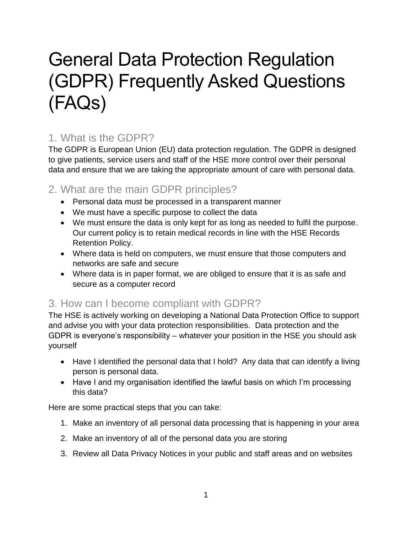# General Data Protection Regulation (GDPR) Frequently Asked Questions (FAQs)

## <span id="page-0-0"></span>1. What is the GDPR?

The GDPR is European Union (EU) data protection regulation. The GDPR is designed to give patients, service users and staff of the HSE more control over their personal data and ensure that we are taking the appropriate amount of care with personal data.

#### <span id="page-0-1"></span>2. What are the main GDPR principles?

- Personal data must be processed in a transparent manner
- We must have a specific purpose to collect the data
- We must ensure the data is only kept for as long as needed to fulfil the purpose. Our current policy is to retain medical records in line with the HSE Records Retention Policy.
- Where data is held on computers, we must ensure that those computers and networks are safe and secure
- Where data is in paper format, we are obliged to ensure that it is as safe and secure as a computer record

#### <span id="page-0-2"></span>3. How can I become compliant with GDPR?

The HSE is actively working on developing a National Data Protection Office to support and advise you with your data protection responsibilities. Data protection and the GDPR is everyone's responsibility – whatever your position in the HSE you should ask yourself

- Have I identified the personal data that I hold? Any data that can identify a living person is personal data.
- Have I and my organisation identified the lawful basis on which I'm processing this data?

Here are some practical steps that you can take:

- 1. Make an inventory of all personal data processing that is happening in your area
- 2. Make an inventory of all of the personal data you are storing
- 3. Review all Data Privacy Notices in your public and staff areas and on websites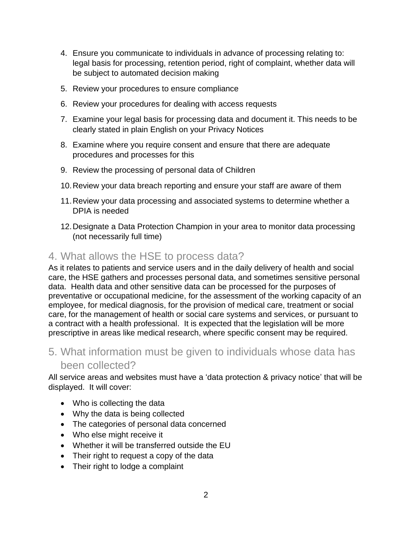- 4. Ensure you communicate to individuals in advance of processing relating to: legal basis for processing, retention period, right of complaint, whether data will be subject to automated decision making
- 5. Review your procedures to ensure compliance
- 6. Review your procedures for dealing with access requests
- 7. Examine your legal basis for processing data and document it. This needs to be clearly stated in plain English on your Privacy Notices
- 8. Examine where you require consent and ensure that there are adequate procedures and processes for this
- 9. Review the processing of personal data of Children
- 10.Review your data breach reporting and ensure your staff are aware of them
- 11.Review your data processing and associated systems to determine whether a DPIA is needed
- 12.Designate a Data Protection Champion in your area to monitor data processing (not necessarily full time)

#### <span id="page-1-0"></span>4. What allows the HSE to process data?

As it relates to patients and service users and in the daily delivery of health and social care, the HSE gathers and processes personal data, and sometimes sensitive personal data. Health data and other sensitive data can be processed for the purposes of preventative or occupational medicine, for the assessment of the working capacity of an employee, for medical diagnosis, for the provision of medical care, treatment or social care, for the management of health or social care systems and services, or pursuant to a contract with a health professional. It is expected that the legislation will be more prescriptive in areas like medical research, where specific consent may be required.

#### <span id="page-1-1"></span>5. What information must be given to individuals whose data has been collected?

All service areas and websites must have a 'data protection & privacy notice' that will be displayed. It will cover:

- Who is collecting the data
- Why the data is being collected
- The categories of personal data concerned
- Who else might receive it
- Whether it will be transferred outside the EU
- Their right to request a copy of the data
- Their right to lodge a complaint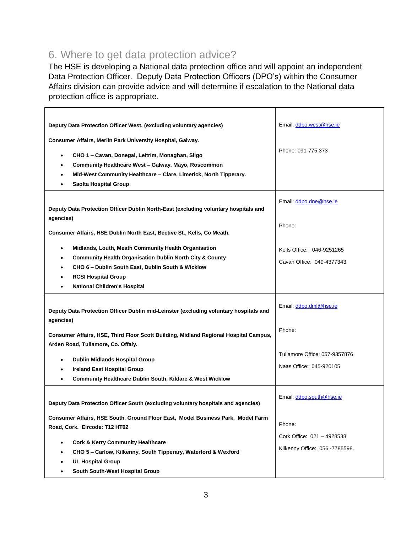#### <span id="page-2-0"></span>6. Where to get data protection advice?

The HSE is developing a National data protection office and will appoint an independent Data Protection Officer. Deputy Data Protection Officers (DPO's) within the Consumer Affairs division can provide advice and will determine if escalation to the National data protection office is appropriate.

| Deputy Data Protection Officer West, (excluding voluntary agencies)<br>Consumer Affairs, Merlin Park University Hospital, Galway.<br>CHO 1 - Cavan, Donegal, Leitrim, Monaghan, Sligo<br>٠<br>Community Healthcare West - Galway, Mayo, Roscommon<br>٠<br>Mid-West Community Healthcare - Clare, Limerick, North Tipperary.<br>$\bullet$<br><b>Saolta Hospital Group</b>                                                                               | Email: ddpo.west@hse.ie<br>Phone: 091-775 373                                                       |
|--------------------------------------------------------------------------------------------------------------------------------------------------------------------------------------------------------------------------------------------------------------------------------------------------------------------------------------------------------------------------------------------------------------------------------------------------------|-----------------------------------------------------------------------------------------------------|
| Deputy Data Protection Officer Dublin North-East (excluding voluntary hospitals and<br>agencies)<br>Consumer Affairs, HSE Dublin North East, Bective St., Kells, Co Meath.<br>Midlands, Louth, Meath Community Health Organisation<br><b>Community Health Organisation Dublin North City &amp; County</b><br>$\bullet$<br>CHO 6 - Dublin South East, Dublin South & Wicklow<br><b>RCSI Hospital Group</b><br>National Children's Hospital<br>$\bullet$ | Email: ddpo.dne@hse.ie<br>Phone:<br>Kells Office: 046-9251265<br>Cavan Office: 049-4377343          |
| Deputy Data Protection Officer Dublin mid-Leinster (excluding voluntary hospitals and<br>agencies)<br>Consumer Affairs, HSE, Third Floor Scott Building, Midland Regional Hospital Campus,<br>Arden Road, Tullamore, Co. Offaly.<br><b>Dublin Midlands Hospital Group</b><br>٠<br><b>Ireland East Hospital Group</b><br><b>Community Healthcare Dublin South, Kildare &amp; West Wicklow</b><br>$\bullet$                                              | Email: ddpo.dml@hse.ie<br>Phone:<br>Tullamore Office: 057-9357876<br>Naas Office: 045-920105        |
| Deputy Data Protection Officer South (excluding voluntary hospitals and agencies)<br>Consumer Affairs, HSE South, Ground Floor East, Model Business Park, Model Farm<br>Road, Cork. Eircode: T12 HT02<br><b>Cork &amp; Kerry Community Healthcare</b><br>$\bullet$<br>CHO 5 - Carlow, Kilkenny, South Tipperary, Waterford & Wexford<br><b>UL Hospital Group</b><br>South South-West Hospital Group                                                    | Email: ddpo.south@hse.ie<br>Phone:<br>Cork Office: 021 - 4928538<br>Kilkenny Office: 056 - 7785598. |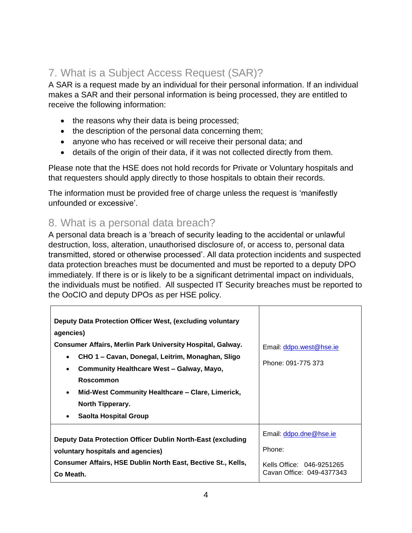## <span id="page-3-0"></span>7. What is a Subject Access Request (SAR)?

A SAR is a request made by an individual for their personal information. If an individual makes a SAR and their personal information is being processed, they are entitled to receive the following information:

- the reasons why their data is being processed;
- the description of the personal data concerning them;
- anyone who has received or will receive their personal data; and
- details of the origin of their data, if it was not collected directly from them.

Please note that the HSE does not hold records for Private or Voluntary hospitals and that requesters should apply directly to those hospitals to obtain their records.

The information must be provided free of charge unless the request is 'manifestly unfounded or excessive'.

#### <span id="page-3-1"></span>8. What is a personal data breach?

A personal data breach is a 'breach of security leading to the accidental or unlawful destruction, loss, alteration, unauthorised disclosure of, or access to, personal data transmitted, stored or otherwise processed'. All data protection incidents and suspected data protection breaches must be documented and must be reported to a deputy DPO immediately. If there is or is likely to be a significant detrimental impact on individuals, the individuals must be notified. All suspected IT Security breaches must be reported to the OoCIO and deputy DPOs as per HSE policy.

| Deputy Data Protection Officer West, (excluding voluntary<br>agencies)<br><b>Consumer Affairs, Merlin Park University Hospital, Galway.</b><br>CHO 1 – Cavan, Donegal, Leitrim, Monaghan, Sligo<br>$\bullet$<br>Community Healthcare West - Galway, Mayo,<br>$\bullet$<br><b>Roscommon</b><br>Mid-West Community Healthcare - Clare, Limerick,<br>$\bullet$<br>North Tipperary.<br>Saolta Hospital Group<br>$\bullet$ | Email: ddpo.west@hse.ie<br>Phone: 091-775 373 |
|-----------------------------------------------------------------------------------------------------------------------------------------------------------------------------------------------------------------------------------------------------------------------------------------------------------------------------------------------------------------------------------------------------------------------|-----------------------------------------------|
| Deputy Data Protection Officer Dublin North-East (excluding                                                                                                                                                                                                                                                                                                                                                           | Email: ddpo.dne@hse.ie                        |
| voluntary hospitals and agencies)                                                                                                                                                                                                                                                                                                                                                                                     | Phone:                                        |
| Consumer Affairs, HSE Dublin North East, Bective St., Kells,                                                                                                                                                                                                                                                                                                                                                          | Kells Office: 046-9251265                     |
| Co Meath.                                                                                                                                                                                                                                                                                                                                                                                                             | Cavan Office: 049-4377343                     |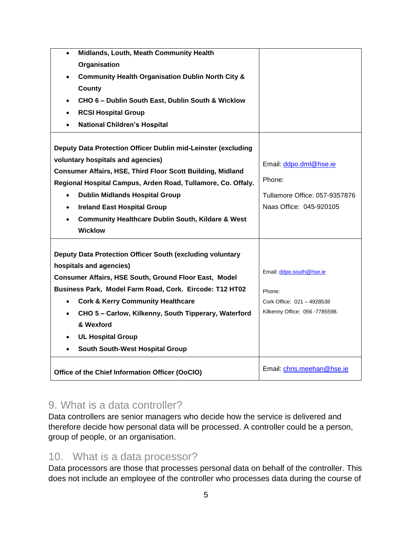| Midlands, Louth, Meath Community Health<br>$\bullet$                      |                                |
|---------------------------------------------------------------------------|--------------------------------|
| Organisation                                                              |                                |
| <b>Community Health Organisation Dublin North City &amp;</b><br>$\bullet$ |                                |
| County                                                                    |                                |
| CHO 6 - Dublin South East, Dublin South & Wicklow<br>٠                    |                                |
| <b>RCSI Hospital Group</b><br>$\bullet$                                   |                                |
| <b>National Children's Hospital</b><br>$\bullet$                          |                                |
|                                                                           |                                |
| Deputy Data Protection Officer Dublin mid-Leinster (excluding             |                                |
| voluntary hospitals and agencies)                                         | Email: ddpo.dml@hse.ie         |
| <b>Consumer Affairs, HSE, Third Floor Scott Building, Midland</b>         | Phone:                         |
| Regional Hospital Campus, Arden Road, Tullamore, Co. Offaly.              |                                |
| <b>Dublin Midlands Hospital Group</b><br>$\bullet$                        | Tullamore Office: 057-9357876  |
| <b>Ireland East Hospital Group</b><br>$\bullet$                           | Naas Office: 045-920105        |
| <b>Community Healthcare Dublin South, Kildare &amp; West</b><br>$\bullet$ |                                |
| <b>Wicklow</b>                                                            |                                |
|                                                                           |                                |
| Deputy Data Protection Officer South (excluding voluntary                 |                                |
| hospitals and agencies)                                                   | Email: ddpo.south@hse.ie       |
| Consumer Affairs, HSE South, Ground Floor East, Model                     |                                |
| Business Park, Model Farm Road, Cork. Eircode: T12 HT02                   | Phone:                         |
| <b>Cork &amp; Kerry Community Healthcare</b><br>$\bullet$                 | Cork Office: 021 - 4928538     |
| CHO 5 - Carlow, Kilkenny, South Tipperary, Waterford<br>$\bullet$         | Kilkenny Office: 056 -7785598. |
| & Wexford                                                                 |                                |
| <b>UL Hospital Group</b><br>$\bullet$                                     |                                |
| South South-West Hospital Group<br>$\bullet$                              |                                |
|                                                                           |                                |
| Office of the Chief Information Officer (OoCIO)                           | Email: chris.meehan@hse.ie     |

#### <span id="page-4-0"></span>9. What is a data controller?

Data controllers are senior managers who decide how the service is delivered and therefore decide how personal data will be processed. A controller could be a person, group of people, or an organisation.

#### <span id="page-4-1"></span>10. What is a data processor?

Data processors are those that processes personal data on behalf of the controller. This does not include an employee of the controller who processes data during the course of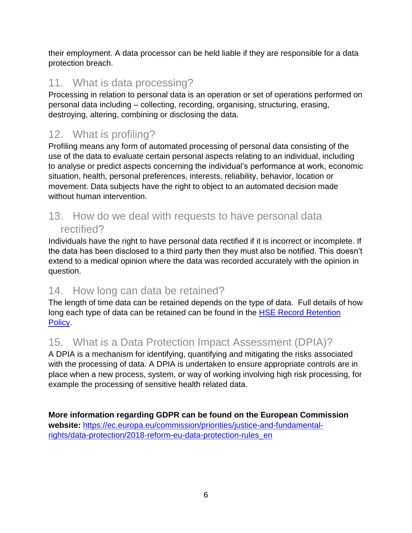their employment. A data processor can be held liable if they are responsible for a data protection breach.

## <span id="page-5-0"></span>11. What is data processing?

Processing in relation to personal data is an operation or set of operations performed on personal data including – collecting, recording, organising, structuring, erasing, destroying, altering, combining or disclosing the data.

## <span id="page-5-1"></span>12. What is profiling?

Profiling means any form of automated processing of personal data consisting of the use of the data to evaluate certain personal aspects relating to an individual, including to analyse or predict aspects concerning the individual's performance at work, economic situation, health, personal preferences, interests, reliability, behavior, location or movement. Data subjects have the right to object to an automated decision made without human intervention.

#### <span id="page-5-2"></span>13. How do we deal with requests to have personal data rectified?

Individuals have the right to have personal data rectified if it is incorrect or incomplete. If the data has been disclosed to a third party then they must also be notified. This doesn't extend to a medical opinion where the data was recorded accurately with the opinion in question.

#### <span id="page-5-3"></span>14. How long can data be retained?

The length of time data can be retained depends on the type of data. Full details of how long each type of data can be retained can be found in the [HSE Record Retention](https://www.hse.ie/eng/services/yourhealthservice/info/dp/recordretpolicy.pdf)  [Policy.](https://www.hse.ie/eng/services/yourhealthservice/info/dp/recordretpolicy.pdf)

### <span id="page-5-4"></span>15. What is a Data Protection Impact Assessment (DPIA)?

A DPIA is a mechanism for identifying, quantifying and mitigating the risks associated with the processing of data. A DPIA is undertaken to ensure appropriate controls are in place when a new process, system, or way of working involving high risk processing, for example the processing of sensitive health related data.

**More information regarding GDPR can be found on the European Commission website:** [https://ec.europa.eu/commission/priorities/justice-and-fundamental](https://ec.europa.eu/commission/priorities/justice-and-fundamental-rights/data-protection/2018-reform-eu-data-protection-rules_en)[rights/data-protection/2018-reform-eu-data-protection-rules\\_en](https://ec.europa.eu/commission/priorities/justice-and-fundamental-rights/data-protection/2018-reform-eu-data-protection-rules_en)